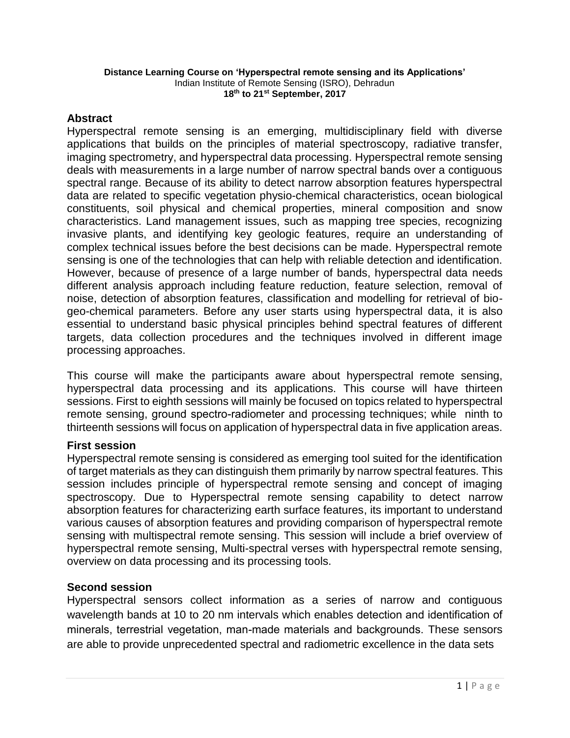#### **Distance Learning Course on 'Hyperspectral remote sensing and its Applications'** Indian Institute of Remote Sensing (ISRO), Dehradun **18th to 21 st September, 2017**

## **Abstract**

Hyperspectral remote sensing is an emerging, multidisciplinary field with diverse applications that builds on the principles of material spectroscopy, radiative transfer, imaging spectrometry, and hyperspectral data processing. Hyperspectral remote sensing deals with measurements in a large number of narrow spectral bands over a contiguous spectral range. Because of its ability to detect narrow absorption features hyperspectral data are related to specific vegetation physio-chemical characteristics, ocean biological constituents, soil physical and chemical properties, mineral composition and snow characteristics. Land management issues, such as mapping tree species, recognizing invasive plants, and identifying key geologic features, require an understanding of complex technical issues before the best decisions can be made. Hyperspectral remote sensing is one of the technologies that can help with reliable detection and identification. However, because of presence of a large number of bands, hyperspectral data needs different analysis approach including feature reduction, feature selection, removal of noise, detection of absorption features, classification and modelling for retrieval of biogeo-chemical parameters. Before any user starts using hyperspectral data, it is also essential to understand basic physical principles behind spectral features of different targets, data collection procedures and the techniques involved in different image processing approaches.

This course will make the participants aware about hyperspectral remote sensing, hyperspectral data processing and its applications. This course will have thirteen sessions. First to eighth sessions will mainly be focused on topics related to hyperspectral remote sensing, ground spectro-radiometer and processing techniques; while ninth to thirteenth sessions will focus on application of hyperspectral data in five application areas.

## **First session**

Hyperspectral remote sensing is considered as emerging tool suited for the identification of target materials as they can distinguish them primarily by narrow spectral features. This session includes principle of hyperspectral remote sensing and concept of imaging spectroscopy. Due to Hyperspectral remote sensing capability to detect narrow absorption features for characterizing earth surface features, its important to understand various causes of absorption features and providing comparison of hyperspectral remote sensing with multispectral remote sensing. This session will include a brief overview of hyperspectral remote sensing, Multi-spectral verses with hyperspectral remote sensing, overview on data processing and its processing tools.

## **Second session**

Hyperspectral sensors collect information as a series of narrow and contiguous wavelength bands at 10 to 20 nm intervals which enables detection and identification of minerals, terrestrial vegetation, man-made materials and backgrounds. These sensors are able to provide unprecedented spectral and radiometric excellence in the data sets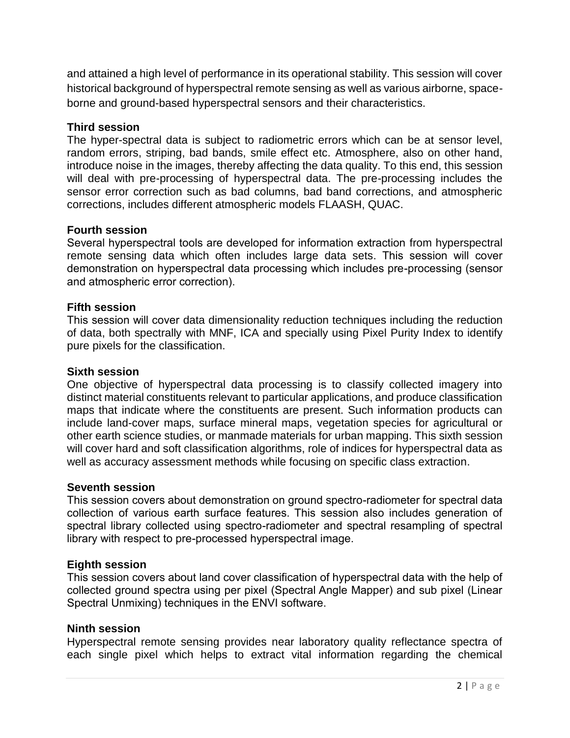and attained a high level of performance in its operational stability. This session will cover historical background of hyperspectral remote sensing as well as various airborne, spaceborne and ground-based hyperspectral sensors and their characteristics.

## **Third session**

The hyper-spectral data is subject to radiometric errors which can be at sensor level, random errors, striping, bad bands, smile effect etc. Atmosphere, also on other hand, introduce noise in the images, thereby affecting the data quality. To this end, this session will deal with pre-processing of hyperspectral data. The pre-processing includes the sensor error correction such as bad columns, bad band corrections, and atmospheric corrections, includes different atmospheric models FLAASH, QUAC.

### **Fourth session**

Several hyperspectral tools are developed for information extraction from hyperspectral remote sensing data which often includes large data sets. This session will cover demonstration on hyperspectral data processing which includes pre-processing (sensor and atmospheric error correction).

### **Fifth session**

This session will cover data dimensionality reduction techniques including the reduction of data, both spectrally with MNF, ICA and specially using Pixel Purity Index to identify pure pixels for the classification.

#### **Sixth session**

One objective of hyperspectral data processing is to classify collected imagery into distinct material constituents relevant to particular applications, and produce classification maps that indicate where the constituents are present. Such information products can include land-cover maps, surface mineral maps, vegetation species for agricultural or other earth science studies, or manmade materials for urban mapping. This sixth session will cover hard and soft classification algorithms, role of indices for hyperspectral data as well as accuracy assessment methods while focusing on specific class extraction.

#### **Seventh session**

This session covers about demonstration on ground spectro-radiometer for spectral data collection of various earth surface features. This session also includes generation of spectral library collected using spectro-radiometer and spectral resampling of spectral library with respect to pre-processed hyperspectral image.

#### **Eighth session**

This session covers about land cover classification of hyperspectral data with the help of collected ground spectra using per pixel (Spectral Angle Mapper) and sub pixel (Linear Spectral Unmixing) techniques in the ENVI software.

#### **Ninth session**

Hyperspectral remote sensing provides near laboratory quality reflectance spectra of each single pixel which helps to extract vital information regarding the chemical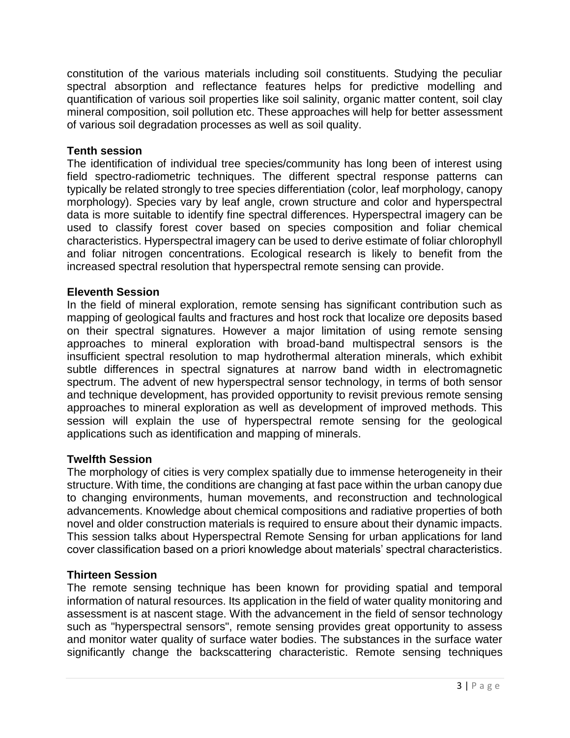constitution of the various materials including soil constituents. Studying the peculiar spectral absorption and reflectance features helps for predictive modelling and quantification of various soil properties like soil salinity, organic matter content, soil clay mineral composition, soil pollution etc. These approaches will help for better assessment of various soil degradation processes as well as soil quality.

## **Tenth session**

The identification of individual tree species/community has long been of interest using field spectro-radiometric techniques. The different spectral response patterns can typically be related strongly to tree species differentiation (color, leaf morphology, canopy morphology). Species vary by leaf angle, crown structure and color and hyperspectral data is more suitable to identify fine spectral differences. Hyperspectral imagery can be used to classify forest cover based on species composition and foliar chemical characteristics. Hyperspectral imagery can be used to derive estimate of foliar chlorophyll and foliar nitrogen concentrations. Ecological research is likely to benefit from the increased spectral resolution that hyperspectral remote sensing can provide.

## **Eleventh Session**

In the field of mineral exploration, remote sensing has significant contribution such as mapping of geological faults and fractures and host rock that localize ore deposits based on their spectral signatures. However a major limitation of using remote sensing approaches to mineral exploration with broad-band multispectral sensors is the insufficient spectral resolution to map hydrothermal alteration minerals, which exhibit subtle differences in spectral signatures at narrow band width in electromagnetic spectrum. The advent of new hyperspectral sensor technology, in terms of both sensor and technique development, has provided opportunity to revisit previous remote sensing approaches to mineral exploration as well as development of improved methods. This session will explain the use of hyperspectral remote sensing for the geological applications such as identification and mapping of minerals.

## **Twelfth Session**

The morphology of cities is very complex spatially due to immense heterogeneity in their structure. With time, the conditions are changing at fast pace within the urban canopy due to changing environments, human movements, and reconstruction and technological advancements. Knowledge about chemical compositions and radiative properties of both novel and older construction materials is required to ensure about their dynamic impacts. This session talks about Hyperspectral Remote Sensing for urban applications for land cover classification based on a priori knowledge about materials' spectral characteristics.

## **Thirteen Session**

The remote sensing technique has been known for providing spatial and temporal information of natural resources. Its application in the field of water quality monitoring and assessment is at nascent stage. With the advancement in the field of sensor technology such as "hyperspectral sensors", remote sensing provides great opportunity to assess and monitor water quality of surface water bodies. The substances in the surface water significantly change the backscattering characteristic. Remote sensing techniques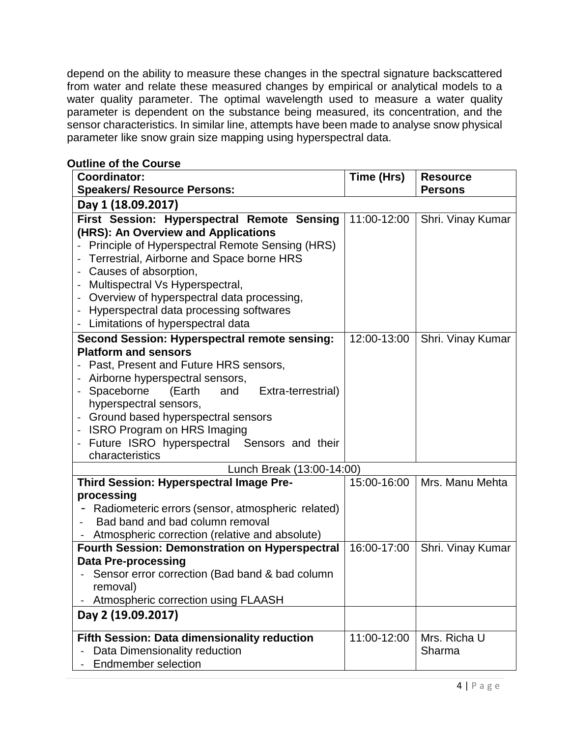depend on the ability to measure these changes in the spectral signature backscattered from water and relate these measured changes by empirical or analytical models to a water quality parameter. The optimal wavelength used to measure a water quality parameter is dependent on the substance being measured, its concentration, and the sensor characteristics. In similar line, attempts have been made to analyse snow physical parameter like snow grain size mapping using hyperspectral data.

| <b>Coordinator:</b>                                   | Time (Hrs)         | <b>Resource</b>   |  |
|-------------------------------------------------------|--------------------|-------------------|--|
| <b>Speakers/ Resource Persons:</b>                    |                    | <b>Persons</b>    |  |
| Day 1 (18.09.2017)                                    |                    |                   |  |
| First Session: Hyperspectral Remote Sensing           | 11:00-12:00        | Shri. Vinay Kumar |  |
| (HRS): An Overview and Applications                   |                    |                   |  |
| Principle of Hyperspectral Remote Sensing (HRS)       |                    |                   |  |
| Terrestrial, Airborne and Space borne HRS             |                    |                   |  |
| Causes of absorption,                                 |                    |                   |  |
| Multispectral Vs Hyperspectral,                       |                    |                   |  |
| Overview of hyperspectral data processing,            |                    |                   |  |
| Hyperspectral data processing softwares               |                    |                   |  |
| Limitations of hyperspectral data                     |                    |                   |  |
| Second Session: Hyperspectral remote sensing:         | 12:00-13:00        | Shri. Vinay Kumar |  |
| <b>Platform and sensors</b>                           |                    |                   |  |
| Past, Present and Future HRS sensors,                 |                    |                   |  |
| Airborne hyperspectral sensors,                       |                    |                   |  |
| Spaceborne<br>(Earth<br>and<br>Extra-terrestrial)     |                    |                   |  |
| hyperspectral sensors,                                |                    |                   |  |
| Ground based hyperspectral sensors                    |                    |                   |  |
| <b>ISRO Program on HRS Imaging</b>                    |                    |                   |  |
| Future ISRO hyperspectral Sensors and their           |                    |                   |  |
| characteristics                                       |                    |                   |  |
| Lunch Break (13:00-14:00)                             |                    |                   |  |
| Third Session: Hyperspectral Image Pre-               | 15:00-16:00        | Mrs. Manu Mehta   |  |
| processing                                            |                    |                   |  |
| Radiometeric errors (sensor, atmospheric related)     |                    |                   |  |
| Bad band and bad column removal                       |                    |                   |  |
| Atmospheric correction (relative and absolute)        |                    |                   |  |
| <b>Fourth Session: Demonstration on Hyperspectral</b> | 16:00-17:00        | Shri. Vinay Kumar |  |
| <b>Data Pre-processing</b>                            |                    |                   |  |
| Sensor error correction (Bad band & bad column        |                    |                   |  |
| removal)<br>Atmospheric correction using FLAASH       |                    |                   |  |
|                                                       |                    |                   |  |
|                                                       | Day 2 (19.09.2017) |                   |  |
| <b>Fifth Session: Data dimensionality reduction</b>   | 11:00-12:00        | Mrs. Richa U      |  |
| Data Dimensionality reduction                         |                    | Sharma            |  |
| <b>Endmember selection</b>                            |                    |                   |  |

## **Outline of the Course**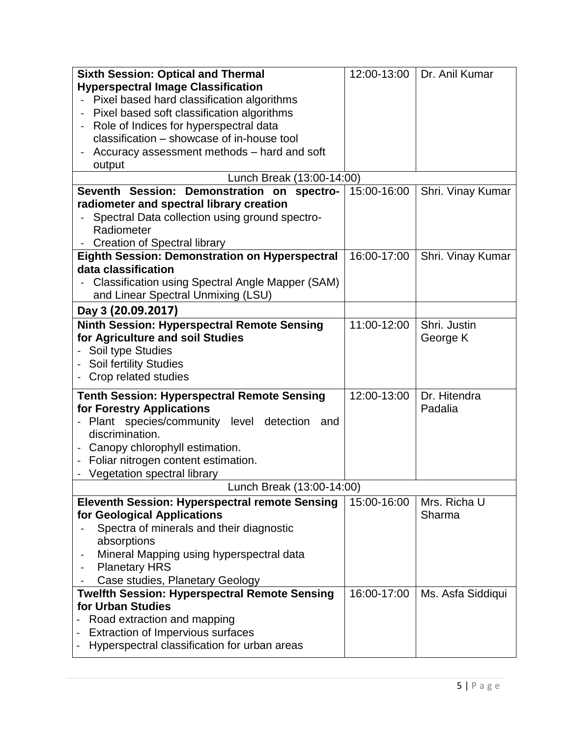| <b>Sixth Session: Optical and Thermal</b>               | 12:00-13:00 | Dr. Anil Kumar    |
|---------------------------------------------------------|-------------|-------------------|
| <b>Hyperspectral Image Classification</b>               |             |                   |
| Pixel based hard classification algorithms              |             |                   |
| Pixel based soft classification algorithms              |             |                   |
| Role of Indices for hyperspectral data                  |             |                   |
| classification - showcase of in-house tool              |             |                   |
| Accuracy assessment methods - hard and soft             |             |                   |
| output                                                  |             |                   |
| Lunch Break (13:00-14:00)                               |             |                   |
| Seventh Session: Demonstration on spectro-              | 15:00-16:00 | Shri. Vinay Kumar |
| radiometer and spectral library creation                |             |                   |
| Spectral Data collection using ground spectro-          |             |                   |
| Radiometer                                              |             |                   |
| <b>Creation of Spectral library</b>                     |             |                   |
| Eighth Session: Demonstration on Hyperspectral          | 16:00-17:00 | Shri. Vinay Kumar |
| data classification                                     |             |                   |
| <b>Classification using Spectral Angle Mapper (SAM)</b> |             |                   |
| and Linear Spectral Unmixing (LSU)                      |             |                   |
| Day 3 (20.09.2017)                                      |             |                   |
| Ninth Session: Hyperspectral Remote Sensing             | 11:00-12:00 | Shri. Justin      |
| for Agriculture and soil Studies                        |             | George K          |
| Soil type Studies                                       |             |                   |
| <b>Soil fertility Studies</b>                           |             |                   |
| Crop related studies                                    |             |                   |
|                                                         |             |                   |
| <b>Tenth Session: Hyperspectral Remote Sensing</b>      | 12:00-13:00 | Dr. Hitendra      |
| for Forestry Applications                               |             | Padalia           |
| - Plant species/community level detection<br>and        |             |                   |
| discrimination.                                         |             |                   |
| Canopy chlorophyll estimation.                          |             |                   |
| Foliar nitrogen content estimation.                     |             |                   |
| Vegetation spectral library                             |             |                   |
| Lunch Break (13:00-14:00)                               |             |                   |
| <b>Eleventh Session: Hyperspectral remote Sensing</b>   | 15:00-16:00 | Mrs. Richa U      |
| for Geological Applications                             |             | Sharma            |
| Spectra of minerals and their diagnostic                |             |                   |
| absorptions                                             |             |                   |
| Mineral Mapping using hyperspectral data                |             |                   |
| <b>Planetary HRS</b>                                    |             |                   |
| Case studies, Planetary Geology                         |             |                   |
| <b>Twelfth Session: Hyperspectral Remote Sensing</b>    | 16:00-17:00 | Ms. Asfa Siddiqui |
| for Urban Studies                                       |             |                   |
| Road extraction and mapping                             |             |                   |
| <b>Extraction of Impervious surfaces</b>                |             |                   |
| Hyperspectral classification for urban areas            |             |                   |
|                                                         |             |                   |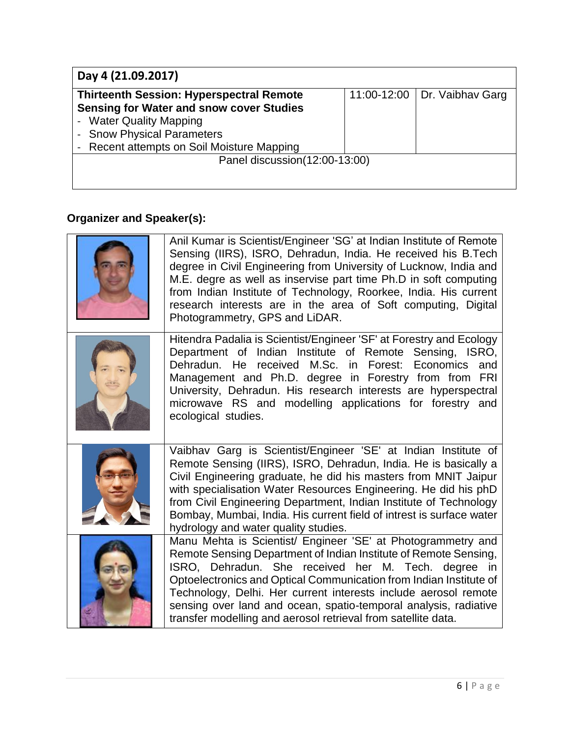| Day 4 (21.09.2017)                                       |  |                                |
|----------------------------------------------------------|--|--------------------------------|
| <b>Thirteenth Session: Hyperspectral Remote</b>          |  | 11:00-12:00   Dr. Vaibhav Garg |
| <b>Sensing for Water and snow cover Studies</b>          |  |                                |
| <b>Water Quality Mapping</b><br>$\overline{\phantom{a}}$ |  |                                |
| <b>Snow Physical Parameters</b>                          |  |                                |
| Recent attempts on Soil Moisture Mapping                 |  |                                |
| Panel discussion(12:00-13:00)                            |  |                                |
|                                                          |  |                                |
|                                                          |  |                                |

# **Organizer and Speaker(s):**

| Anil Kumar is Scientist/Engineer 'SG' at Indian Institute of Remote<br>Sensing (IIRS), ISRO, Dehradun, India. He received his B.Tech<br>degree in Civil Engineering from University of Lucknow, India and<br>M.E. degre as well as inservise part time Ph.D in soft computing<br>from Indian Institute of Technology, Roorkee, India. His current<br>research interests are in the area of Soft computing, Digital<br>Photogrammetry, GPS and LiDAR.                  |
|-----------------------------------------------------------------------------------------------------------------------------------------------------------------------------------------------------------------------------------------------------------------------------------------------------------------------------------------------------------------------------------------------------------------------------------------------------------------------|
| Hitendra Padalia is Scientist/Engineer 'SF' at Forestry and Ecology<br>Department of Indian Institute of Remote Sensing, ISRO,<br>Dehradun. He received M.Sc. in Forest: Economics<br>and<br>Management and Ph.D. degree in Forestry from from FRI<br>University, Dehradun. His research interests are hyperspectral<br>microwave RS and modelling applications for forestry and<br>ecological studies.                                                               |
| Vaibhav Garg is Scientist/Engineer 'SE' at Indian Institute of<br>Remote Sensing (IIRS), ISRO, Dehradun, India. He is basically a<br>Civil Engineering graduate, he did his masters from MNIT Jaipur<br>with specialisation Water Resources Engineering. He did his phD<br>from Civil Engineering Department, Indian Institute of Technology<br>Bombay, Mumbai, India. His current field of intrest is surface water<br>hydrology and water quality studies.          |
| Manu Mehta is Scientist/ Engineer 'SE' at Photogrammetry and<br>Remote Sensing Department of Indian Institute of Remote Sensing,<br>ISRO, Dehradun. She received her M. Tech. degree in<br>Optoelectronics and Optical Communication from Indian Institute of<br>Technology, Delhi. Her current interests include aerosol remote<br>sensing over land and ocean, spatio-temporal analysis, radiative<br>transfer modelling and aerosol retrieval from satellite data. |